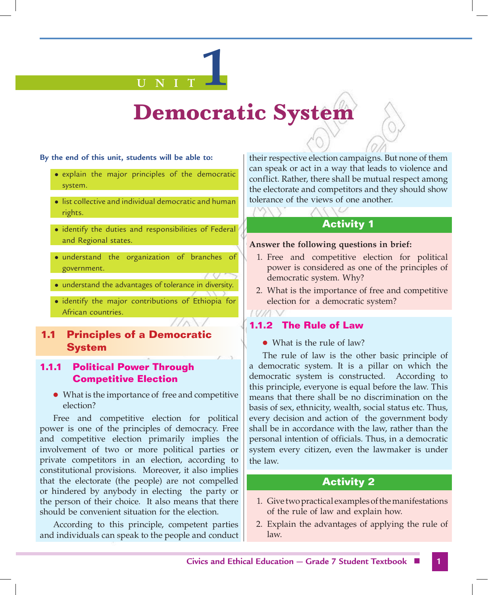#### **By the end of this unit, students will be able to:**

• explain the major principles of the democratic system.

**U N I T 1**

- list collective and individual democratic and human rights.
- identify the duties and responsibilities of Federal and Regional states.
- · understand the organization of branches of government.
- understand the advantages of tolerance in diversity.
- $\bullet$  identify the major contributions of Ethiopia for African countries.

# **1.1 Principles of a Democratic System**

# **1.1.1 Political Power Through Competitive Election**

• What is the importance of free and competitive election?

Free and competitive election for political power is one of the principles of democracy. Free and competitive election primarily implies the involvement of two or more political parties or private competitors in an election, according to constitutional provisions. Moreover, it also implies that the electorate (the people) are not compelled or hindered by anybody in electing the party or the person of their choice. It also means that there should be convenient situation for the election.

According to this principle, competent parties and individuals can speak to the people and conduct their respective election campaigns. But none of them can speak or act in a way that leads to violence and conflict. Rather, there shall be mutual respect among the electorate and competitors and they should show tolerance of the views of one another.

# **Activity 1**

### **Answer the following questions in brief:**

- 1. Free and competitive election for political power is considered as one of the principles of democratic system. Why?
- 2. What is the importance of free and competitive election for a democratic system?

# **1.1.2 The Rule of Law**

 $\bullet$  What is the rule of law?

The rule of law is the other basic principle of a democratic system. It is a pillar on which the democratic system is constructed. According to this principle, everyone is equal before the law. This means that there shall be no discrimination on the basis of sex, ethnicity, wealth, social status etc. Thus, every decision and action of the government body shall be in accordance with the law, rather than the personal intention of officials. Thus, in a democratic system every citizen, even the lawmaker is under the law.

# **Activity 2**

- 1. Give two practical examples of the manifestations of the rule of law and explain how.
- 2. Explain the advantages of applying the rule of law.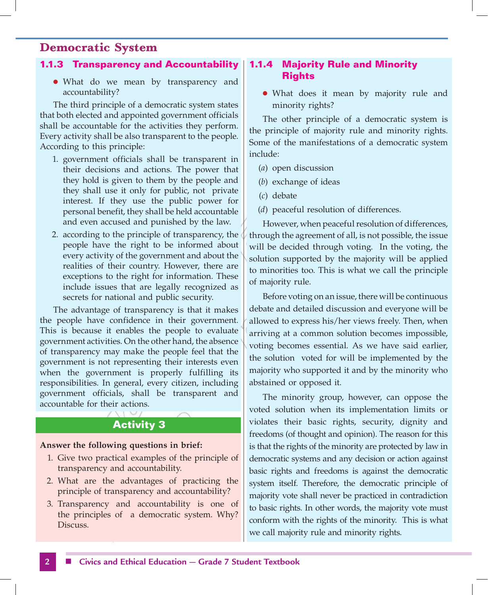### **1.1.3 Transparency and Accountability**

• What do we mean by transparency and accountability?

The third principle of a democratic system states that both elected and appointed government officials shall be accountable for the activities they perform. Every activity shall be also transparent to the people. According to this principle:

- 1. government officials shall be transparent in their decisions and actions. The power that they hold is given to them by the people and they shall use it only for public, not private interest. If they use the public power for personal benefit, they shall be held accountable and even accused and punished by the law.
- 2. according to the principle of transparency, the people have the right to be informed about every activity of the government and about the realities of their country. However, there are exceptions to the right for information. These include issues that are legally recognized as secrets for national and public security.

The advantage of transparency is that it makes the people have confidence in their government. This is because it enables the people to evaluate government activities. On the other hand, the absence of transparency may make the people feel that the government is not representing their interests even when the government is properly fulfilling its responsibilities. In general, every citizen, including government officials, shall be transparent and accountable for their actions.

### **Activity 3**

#### **Answer the following questions in brief:**

- 1. Give two practical examples of the principle of transparency and accountability.
- 2. What are the advantages of practicing the principle of transparency and accountability?
- 3. Transparency and accountability is one of the principles of a democratic system. Why? Discuss.

# **1.1.4 Majority Rule and Minority Rights**

• What does it mean by majority rule and minority rights?

The other principle of a democratic system is the principle of majority rule and minority rights. Some of the manifestations of a democratic system include:

- (*a*) open discussion
- (*b*) exchange of ideas
- (*c*) debate
- (*d*) peaceful resolution of differences.

However, when peaceful resolution of differences, through the agreement of all, is not possible, the issue will be decided through voting. In the voting, the solution supported by the majority will be applied to minorities too. This is what we call the principle of majority rule.

Before voting on an issue, there will be continuous debate and detailed discussion and everyone will be allowed to express his/her views freely. Then, when arriving at a common solution becomes impossible, voting becomes essential. As we have said earlier, the solution voted for will be implemented by the majority who supported it and by the minority who abstained or opposed it.

The minority group, however, can oppose the voted solution when its implementation limits or violates their basic rights, security, dignity and freedoms (of thought and opinion). The reason for this is that the rights of the minority are protected by law in democratic systems and any decision or action against basic rights and freedoms is against the democratic system itself. Therefore, the democratic principle of majority vote shall never be practiced in contradiction to basic rights. In other words, the majority vote must conform with the rights of the minority. This is what we call majority rule and minority rights.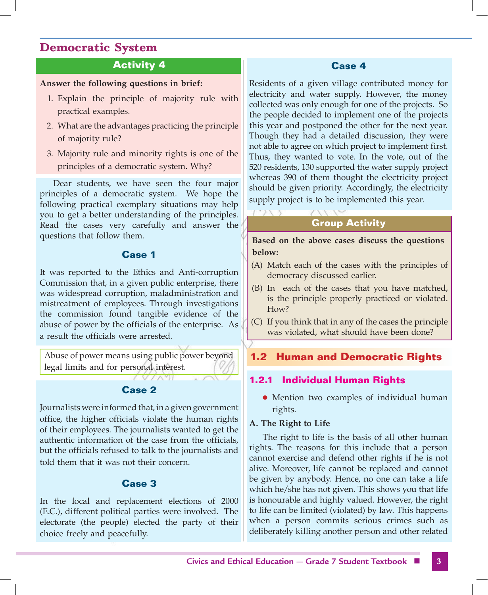# **Activity 4**

### **Answer the following questions in brief:**

- 1. Explain the principle of majority rule with practical examples.
- 2. What are the advantages practicing the principle of majority rule?
- 3. Majority rule and minority rights is one of the principles of a democratic system. Why?

Dear students, we have seen the four major principles of a democratic system. We hope the following practical exemplary situations may help you to get a better understanding of the principles. Read the cases very carefully and answer the questions that follow them.

# **Case 1**

It was reported to the Ethics and Anti-corruption Commission that, in a given public enterprise, there was widespread corruption, maladministration and mistreatment of employees. Through investigations the commission found tangible evidence of the abuse of power by the officials of the enterprise. As a result the officials were arrested.

Abuse of power means using public power beyond legal limits and for personal interest.

# **Case 2**

 $(VV\wedge V)$ 

Journalists were informed that, in a given government office, the higher officials violate the human rights of their employees. The journalists wanted to get the authentic information of the case from the officials, but the officials refused to talk to the journalists and told them that it was not their concern.

# **Case 3**

In the local and replacement elections of 2000 (E.C.), different political parties were involved. The electorate (the people) elected the party of their choice freely and peacefully.

## **Case 4**

Residents of a given village contributed money for electricity and water supply. However, the money collected was only enough for one of the projects. So the people decided to implement one of the projects this year and postponed the other for the next year. Though they had a detailed discussion, they were not able to agree on which project to implement first. Thus, they wanted to vote. In the vote, out of the 520 residents, 130 supported the water supply project whereas 390 of them thought the electricity project should be given priority. Accordingly, the electricity supply project is to be implemented this year.

# **Group Activity**

**Based on the above cases discuss the questions below:**

- (A) Match each of the cases with the principles of democracy discussed earlier.
- (B) In each of the cases that you have matched, is the principle properly practiced or violated. How?
- (C) If you think that in any of the cases the principle was violated, what should have been done?

# **1.2 Human and Democratic Rights**

# **1.2.1 Individual Human Rights**

• Mention two examples of individual human rights.

### **A. The Right to Life**

The right to life is the basis of all other human rights. The reasons for this include that a person cannot exercise and defend other rights if he is not alive. Moreover, life cannot be replaced and cannot be given by anybody. Hence, no one can take a life which he/she has not given. This shows you that life is honourable and highly valued. However, the right to life can be limited (violated) by law. This happens when a person commits serious crimes such as deliberately killing another person and other related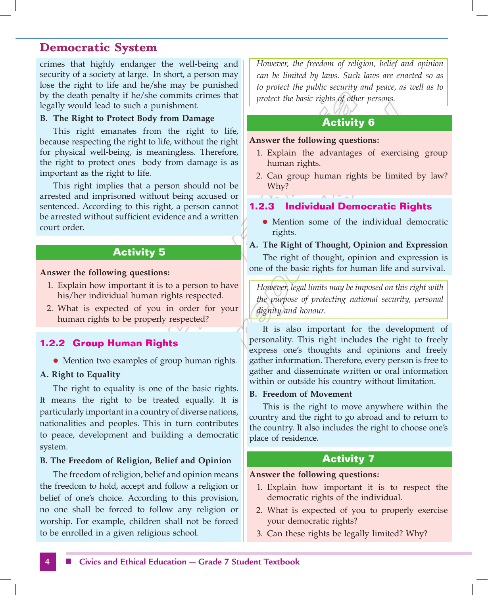crimes that highly endanger the well-being and security of a society at large. In short, a person may lose the right to life and he/she may be punished by the death penalty if he/she commits crimes that legally would lead to such a punishment.

#### **B. The Right to Protect Body from Damage**

This right emanates from the right to life, because respecting the right to life, without the right for physical well-being, is meaningless. Therefore, the right to protect ones body from damage is as important as the right to life.

This right implies that a person should not be arrested and imprisoned without being accused or sentenced. According to this right, a person cannot be arrested without sufficient evidence and a written court order.

# **Activity 5**

#### **Answer the following questions:**

- 1. Explain how important it is to a person to have his/her individual human rights respected.
- 2. What is expected of you in order for your human rights to be properly respected?

### **1.2.2 Group Human Rights**

• Mention two examples of group human rights.

#### **A. Right to Equality**

The right to equality is one of the basic rights. It means the right to be treated equally. It is particularly important in a country of diverse nations, nationalities and peoples. This in turn contributes to peace, development and building a democratic system.

#### **B. The Freedom of Religion, Belief and Opinion**

The freedom of religion, belief and opinion means the freedom to hold, accept and follow a religion or belief of one's choice. According to this provision, no one shall be forced to follow any religion or worship. For example, children shall not be forced to be enrolled in a given religious school.

*However, the freedom of religion, belief and opinion can be limited by laws. Such laws are enacted so as to protect the public security and peace, as well as to protect the basic rights of other persons.*

### **Activity 6**

#### **Answer the following questions:**

- 1. Explain the advantages of exercising group human rights.
- 2. Can group human rights be limited by law? Why?

### **1.2.3 Individual Democratic Rights**

- Mention some of the individual democratic rights.
- **A. The Right of Thought, Opinion and Expression**

The right of thought, opinion and expression is one of the basic rights for human life and survival.

*However, legal limits may be imposed on this right with the purpose of protecting national security, personal dignity and honour.*

It is also important for the development of personality. This right includes the right to freely express one's thoughts and opinions and freely gather information. Therefore, every person is free to gather and disseminate written or oral information within or outside his country without limitation.

#### **B. Freedom of Movement**

This is the right to move anywhere within the country and the right to go abroad and to return to the country. It also includes the right to choose one's place of residence.

# **Activity 7**

#### **Answer the following questions:**

- 1. Explain how important it is to respect the democratic rights of the individual.
- 2. What is expected of you to properly exercise your democratic rights?
- 3. Can these rights be legally limited? Why?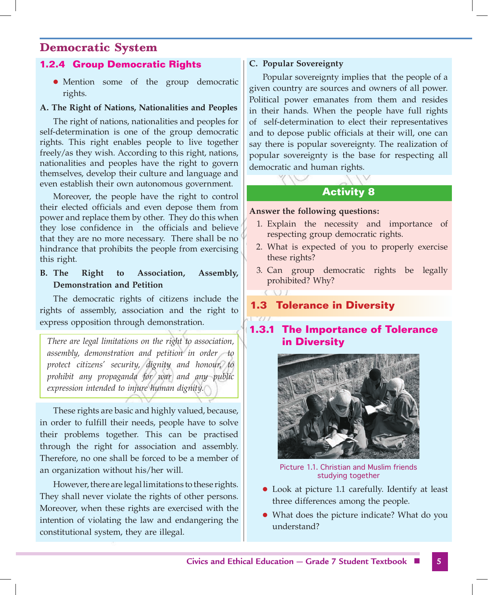### **1.2.4 Group Democratic Rights**

**•** Mention some of the group democratic rights.

#### **A. The Right of Nations, Nationalities and Peoples**

The right of nations, nationalities and peoples for self-determination is one of the group democratic rights. This right enables people to live together freely/as they wish. According to this right, nations, nationalities and peoples have the right to govern themselves, develop their culture and language and even establish their own autonomous government.

Moreover, the people have the right to control their elected officials and even depose them from power and replace them by other. They do this when they lose confidence in the officials and believe that they are no more necessary. There shall be no hindrance that prohibits the people from exercising this right.

**B. The Right to Association, Assembly, Demonstration and Petition**

The democratic rights of citizens include the rights of assembly, association and the right to express opposition through demonstration.

*There are legal limitations on the right to association, assembly, demonstration and petition in order to protect citizens' security, dignity and honour, to prohibit any propaganda for war and any public expression intended to injure human dignity.*

These rights are basic and highly valued, because, in order to fulfill their needs, people have to solve their problems together. This can be practised through the right for association and assembly. Therefore, no one shall be forced to be a member of an organization without his/her will.

However, there are legal limitations to these rights. They shall never violate the rights of other persons. Moreover, when these rights are exercised with the intention of violating the law and endangering the constitutional system, they are illegal.

### **C. Popular Sovereignty**

Popular sovereignty implies that the people of a given country are sources and owners of all power. Political power emanates from them and resides in their hands. When the people have full rights of self-determination to elect their representatives and to depose public officials at their will, one can say there is popular sovereignty. The realization of popular sovereignty is the base for respecting all democratic and human rights.

# **Activity 8**

#### **Answer the following questions:**

- 1. Explain the necessity and importance of respecting group democratic rights.
- 2. What is expected of you to properly exercise these rights?
- 3. Can group democratic rights be legally prohibited? Why?

# **1.3 Tolerance in Diversity**

# **1.3.1 The Importance of Tolerance in Diversity**



Picture 1.1. Christian and Muslim friends studying together

- Look at picture 1.1 carefully. Identify at least three differences among the people.
- What does the picture indicate? What do you understand?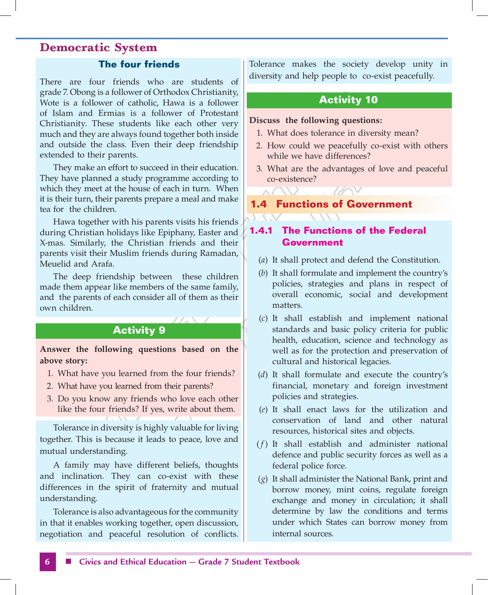### **The four friends**

There are four friends who are students of grade 7. Obong is a follower of Orthodox Christianity, Wote is a follower of catholic, Hawa is a follower of Islam and Ermias is a follower of Protestant Christianity. These students like each other very much and they are always found together both inside and outside the class. Even their deep friendship extended to their parents.

They make an effort to succeed in their education. They have planned a study programme according to which they meet at the house of each in turn. When it is their turn, their parents prepare a meal and make tea for the children.

Hawa together with his parents visits his friends during Christian holidays like Epiphany, Easter and X-mas. Similarly, the Christian friends and their parents visit their Muslim friends during Ramadan, Meuelid and Arafa.

The deep friendship between these children made them appear like members of the same family, and the parents of each consider all of them as their own children.

# **Activity 9**

**Answer the following questions based on the above story:**

- 1. What have you learned from the four friends?
- 2. What have you learned from their parents?
- 3. Do you know any friends who love each other like the four friends? If yes, write about them.

Tolerance in diversity is highly valuable for living together. This is because it leads to peace, love and mutual understanding.

A family may have different beliefs, thoughts and inclination. They can co-exist with these differences in the spirit of fraternity and mutual understanding.

Tolerance is also advantageous for the community in that it enables working together, open discussion, negotiation and peaceful resolution of conflicts. Tolerance makes the society develop unity in diversity and help people to co-exist peacefully.

### **Activity 10**

#### **Discuss the following questions:**

- 1. What does tolerance in diversity mean?
- 2. How could we peacefully co-exist with others while we have differences?
- 3. What are the advantages of love and peaceful co-existence?

1 AN V

**1.4 Functions of Government** 

# **1.4.1 The Functions of the Federal Government**

- (*a*) It shall protect and defend the Constitution.
- (*b*) It shall formulate and implement the country's policies, strategies and plans in respect of overall economic, social and development matters.
- (*c*) It shall establish and implement national standards and basic policy criteria for public health, education, science and technology as well as for the protection and preservation of cultural and historical legacies.
- (*d*) It shall formulate and execute the country's financial, monetary and foreign investment policies and strategies.
- (*e*) It shall enact laws for the utilization and conservation of land and other natural resources, historical sites and objects.
- ( *f* ) It shall establish and administer national defence and public security forces as well as a federal police force.
- (*g*) It shall administer the National Bank, print and borrow money, mint coins, regulate foreign exchange and money in circulation; it shall determine by law the conditions and terms under which States can borrow money from internal sources.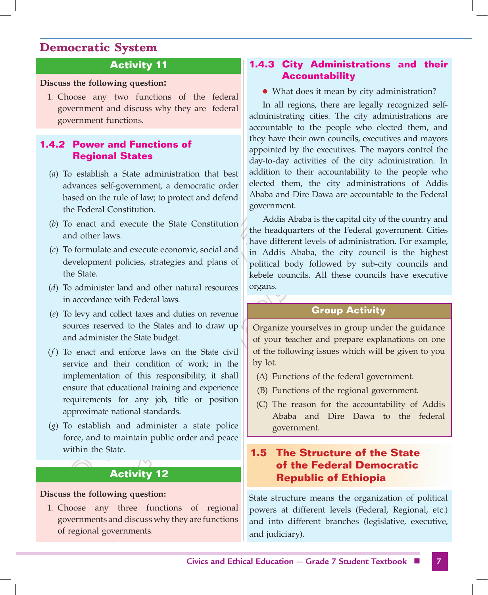# **Activity 11**

### **Discuss the following question:**

1. Choose any two functions of the federal government and discuss why they are federal government functions.

# **1.4.2 Power and Functions of Regional States**

- (*a*) To establish a State administration that best advances self-government, a democratic order based on the rule of law; to protect and defend the Federal Constitution.
- (*b*) To enact and execute the State Constitution and other laws.
- (*c*) To formulate and execute economic, social and development policies, strategies and plans of the State.
- (*d*) To administer land and other natural resources in accordance with Federal laws.
- (*e*) To levy and collect taxes and duties on revenue sources reserved to the States and to draw up and administer the State budget.
- (*f* ) To enact and enforce laws on the State civil service and their condition of work; in the implementation of this responsibility, it shall ensure that educational training and experience requirements for any job, title or position approximate national standards.
- (*g*) To establish and administer a state police force, and to maintain public order and peace within the State.

# **Activity 12**

### **Discuss the following question:**

1. Choose any three functions of regional governments and discuss why they are functions of regional governments.

## **1.4.3 City Administrations and their Accountability**

• What does it mean by city administration?

In all regions, there are legally recognized selfadministrating cities. The city administrations are accountable to the people who elected them, and they have their own councils, executives and mayors appointed by the executives. The mayors control the day-to-day activities of the city administration. In addition to their accountability to the people who elected them, the city administrations of Addis Ababa and Dire Dawa are accountable to the Federal government.

Addis Ababa is the capital city of the country and the headquarters of the Federal government. Cities have different levels of administration. For example, in Addis Ababa, the city council is the highest political body followed by sub-city councils and kebele councils. All these councils have executive organs.

### **Group Activity**

Organize yourselves in group under the guidance of your teacher and prepare explanations on one of the following issues which will be given to you by lot.

- (A) Functions of the federal government.
- (B) Functions of the regional government.
- (C) The reason for the accountability of Addis Ababa and Dire Dawa to the federal government.

# **1.5 The Structure of the State of the Federal Democratic Republic of Ethiopia**

State structure means the organization of political powers at different levels (Federal, Regional, etc.) and into different branches (legislative, executive, and judiciary).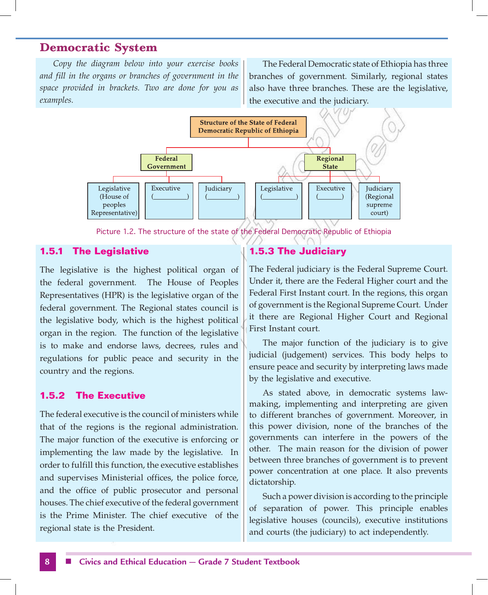*Copy the diagram below into your exercise books and fill in the organs or branches of government in the space provided in brackets. Two are done for you as examples.*

The Federal Democratic state of Ethiopia has three branches of government. Similarly, regional states also have three branches. These are the legislative, the executive and the judiciary.



Picture 1.2. The structure of the state of the Federal Democratic Republic of Ethiopia

### **1.5.1 The Legislative**

The legislative is the highest political organ of the federal government. The House of Peoples Representatives (HPR) is the legislative organ of the federal government. The Regional states council is the legislative body, which is the highest political organ in the region. The function of the legislative is to make and endorse laws, decrees, rules and regulations for public peace and security in the country and the regions.

### **1.5.2 The Executive**

The federal executive is the council of ministers while that of the regions is the regional administration. The major function of the executive is enforcing or implementing the law made by the legislative. In order to fulfill this function, the executive establishes and supervises Ministerial offices, the police force, and the office of public prosecutor and personal houses. The chief executive of the federal government is the Prime Minister. The chief executive of the regional state is the President.

### **1.5.3 The Judiciary**

The Federal judiciary is the Federal Supreme Court. Under it, there are the Federal Higher court and the Federal First Instant court. In the regions, this organ of government is the Regional Supreme Court. Under it there are Regional Higher Court and Regional First Instant court.

The major function of the judiciary is to give judicial (judgement) services. This body helps to ensure peace and security by interpreting laws made by the legislative and executive.

As stated above, in democratic systems lawmaking, implementing and interpreting are given to different branches of government. Moreover, in this power division, none of the branches of the governments can interfere in the powers of the other. The main reason for the division of power between three branches of government is to prevent power concentration at one place. It also prevents dictatorship.

Such a power division is according to the principle of separation of power. This principle enables legislative houses (councils), executive institutions and courts (the judiciary) to act independently.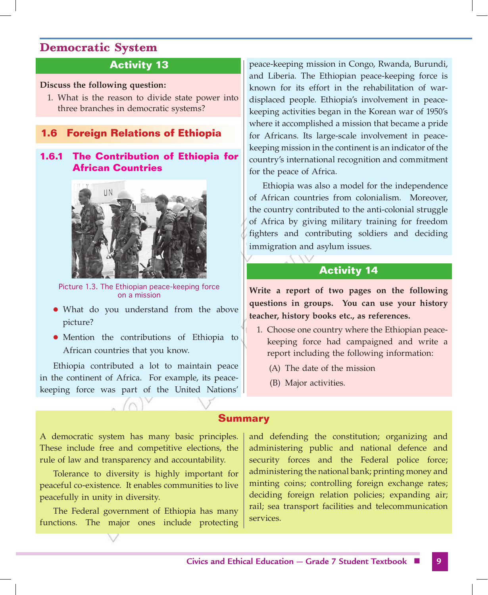# **Activity 13**

#### **Discuss the following question:**

1. What is the reason to divide state power into three branches in democratic systems?

## **1.6 Foreign Relations of Ethiopia**

## **1.6.1 The Contribution of Ethiopia for African Countries**



Picture 1.3. The Ethiopian peace-keeping force on a mission

- What do you understand from the above picture?
- Mention the contributions of Ethiopia to African countries that you know.

Ethiopia contributed a lot to maintain peace in the continent of Africa. For example, its peacekeeping force was part of the United Nations' peace-keeping mission in Congo, Rwanda, Burundi, and Liberia. The Ethiopian peace-keeping force is known for its effort in the rehabilitation of wardisplaced people. Ethiopia's involvement in peacekeeping activities began in the Korean war of 1950's where it accomplished a mission that became a pride for Africans. Its large-scale involvement in peacekeeping mission in the continent is an indicator of the country's international recognition and commitment for the peace of Africa.

Ethiopia was also a model for the independence of African countries from colonialism. Moreover, the country contributed to the anti-colonial struggle of Africa by giving military training for freedom fighters and contributing soldiers and deciding immigration and asylum issues.

### **Activity 14**

**Write a report of two pages on the following questions in groups. You can use your history teacher, history books etc., as references.**

- 1. Choose one country where the Ethiopian peacekeeping force had campaigned and write a report including the following information:
	- (A) The date of the mission
	- (B) Major activities.

#### **Summary**

A democratic system has many basic principles. These include free and competitive elections, the rule of law and transparency and accountability.

Tolerance to diversity is highly important for peaceful co-existence. It enables communities to live peacefully in unity in diversity.

The Federal government of Ethiopia has many functions. The major ones include protecting and defending the constitution; organizing and administering public and national defence and security forces and the Federal police force; administering the national bank; printing money and minting coins; controlling foreign exchange rates; deciding foreign relation policies; expanding air; rail; sea transport facilities and telecommunication services.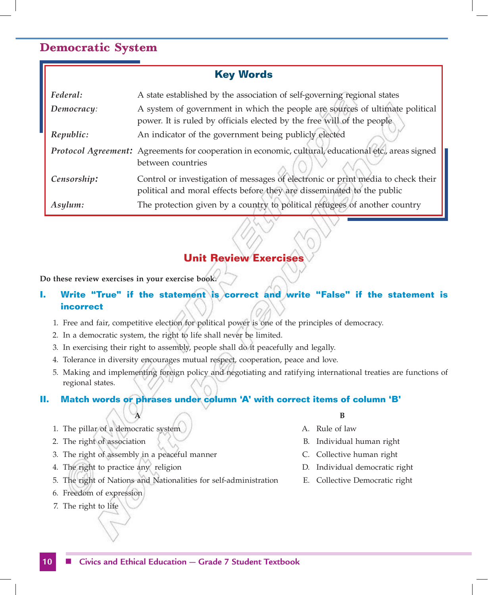| <b>Key Words</b> |                                                                                                                                                            |
|------------------|------------------------------------------------------------------------------------------------------------------------------------------------------------|
| Federal:         | A state established by the association of self-governing regional states                                                                                   |
| Democracy:       | A system of government in which the people are sources of ultimate political<br>power. It is ruled by officials elected by the free will of the people     |
| Republic:        | An indicator of the government being publicly elected                                                                                                      |
|                  | Protocol Agreement: Agreements for cooperation in economic, cultural, educational etc., areas signed<br>between countries                                  |
| Censorship:      | Control or investigation of messages of electronic or print media to check their<br>political and moral effects before they are disseminated to the public |
| Asylum:          | The protection given by a country to political refugees of another country                                                                                 |

# **Unit Review Exercises**

**Do these review exercises in your exercise book.**

# **I. Write "True" if the statement is correct and write "False" if the statement is incorrect**

- 1. Free and fair, competitive election for political power is one of the principles of democracy.
- 2. In a democratic system, the right to life shall never be limited.
- 3. In exercising their right to assembly, people shall do it peacefully and legally.
- 4. Tolerance in diversity encourages mutual respect, cooperation, peace and love.
- 5. Making and implementing foreign policy and negotiating and ratifying international treaties are functions of regional states.

### **II. Match words or phrases under column 'A' with correct items of column 'B'**

- 1. The pillar of a democratic system and the state of law
- 
- 3. The right of assembly in a peaceful manner Theorem C. Collective human right
- 4. The right to practice any religion The D. Individual democratic right
- 5. The right of Nations and Nationalities for self-administration E. Collective Democratic right
- 6. Freedom of expression
- 7. The right to life
- **B B** 
	-
	- 2. The right of association  $\setminus$   $\setminus$   $\setminus$   $\setminus$   $\setminus$   $\setminus$   $\setminus$   $\setminus$   $\setminus$   $\setminus$   $\setminus$   $\setminus$   $\setminus$   $\setminus$   $\setminus$   $\setminus$   $\setminus$   $\setminus$   $\setminus$   $\setminus$   $\setminus$   $\setminus$   $\setminus$   $\setminus$   $\setminus$   $\setminus$   $\setminus$   $\setminus$   $\setminus$   $\setminus$   $\setminus$   $\setminus$   $\$ 
		-
		-
		-